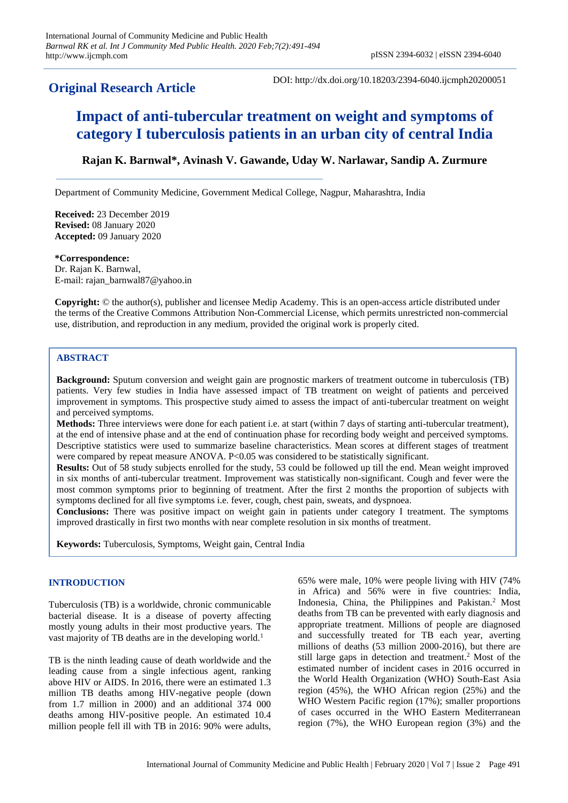# **Original Research Article**

DOI: http://dx.doi.org/10.18203/2394-6040.ijcmph20200051

# **Impact of anti-tubercular treatment on weight and symptoms of category I tuberculosis patients in an urban city of central India**

# **Rajan K. Barnwal\*, Avinash V. Gawande, Uday W. Narlawar, Sandip A. Zurmure**

Department of Community Medicine, Government Medical College, Nagpur, Maharashtra, India

**Received:** 23 December 2019 **Revised:** 08 January 2020 **Accepted:** 09 January 2020

**\*Correspondence:** Dr. Rajan K. Barnwal, E-mail: rajan\_barnwal87@yahoo.in

**Copyright:** © the author(s), publisher and licensee Medip Academy. This is an open-access article distributed under the terms of the Creative Commons Attribution Non-Commercial License, which permits unrestricted non-commercial use, distribution, and reproduction in any medium, provided the original work is properly cited.

#### **ABSTRACT**

**Background:** Sputum conversion and weight gain are prognostic markers of treatment outcome in tuberculosis (TB) patients. Very few studies in India have assessed impact of TB treatment on weight of patients and perceived improvement in symptoms. This prospective study aimed to assess the impact of anti-tubercular treatment on weight and perceived symptoms.

**Methods:** Three interviews were done for each patient i.e. at start (within 7 days of starting anti-tubercular treatment), at the end of intensive phase and at the end of continuation phase for recording body weight and perceived symptoms. Descriptive statistics were used to summarize baseline characteristics. Mean scores at different stages of treatment were compared by repeat measure ANOVA. P<0.05 was considered to be statistically significant.

**Results:** Out of 58 study subjects enrolled for the study, 53 could be followed up till the end. Mean weight improved in six months of anti-tubercular treatment. Improvement was statistically non-significant. Cough and fever were the most common symptoms prior to beginning of treatment. After the first 2 months the proportion of subjects with symptoms declined for all five symptoms i.e. fever, cough, chest pain, sweats, and dyspnoea.

**Conclusions:** There was positive impact on weight gain in patients under category I treatment. The symptoms improved drastically in first two months with near complete resolution in six months of treatment.

**Keywords:** Tuberculosis, Symptoms, Weight gain, Central India

### **INTRODUCTION**

Tuberculosis (TB) is a worldwide, chronic communicable bacterial disease. It is a disease of poverty affecting mostly young adults in their most productive years. The vast majority of TB deaths are in the developing world.<sup>1</sup>

TB is the ninth leading cause of death worldwide and the leading cause from a single infectious agent, ranking above HIV or AIDS. In 2016, there were an estimated 1.3 million TB deaths among HIV-negative people (down from 1.7 million in 2000) and an additional 374 000 deaths among HIV-positive people. An estimated 10.4 million people fell ill with TB in 2016: 90% were adults,

65% were male, 10% were people living with HIV (74% in Africa) and 56% were in five countries: India, Indonesia, China, the Philippines and Pakistan.<sup>2</sup> Most deaths from TB can be prevented with early diagnosis and appropriate treatment. Millions of people are diagnosed and successfully treated for TB each year, averting millions of deaths (53 million 2000-2016), but there are still large gaps in detection and treatment. <sup>2</sup> Most of the estimated number of incident cases in 2016 occurred in the World Health Organization (WHO) South-East Asia region (45%), the WHO African region (25%) and the WHO Western Pacific region (17%); smaller proportions of cases occurred in the WHO Eastern Mediterranean region (7%), the WHO European region (3%) and the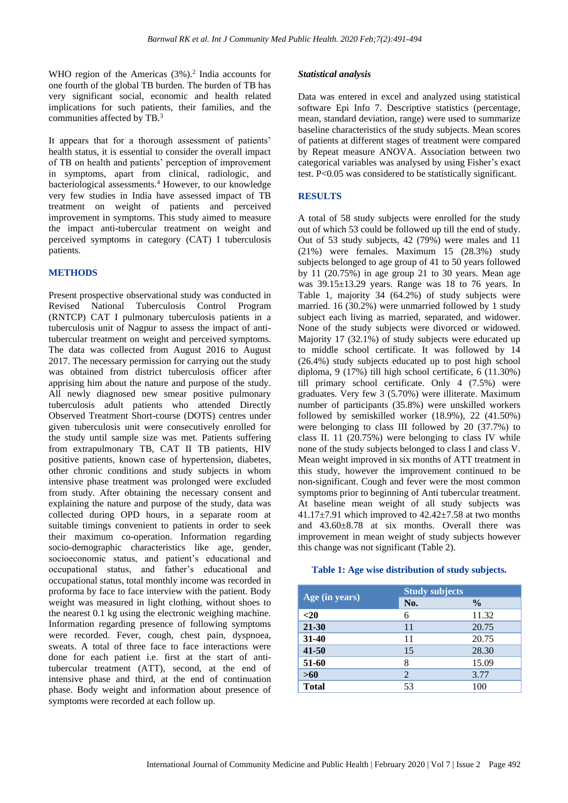WHO region of the Americas  $(3%)$ .<sup>2</sup> India accounts for one fourth of the global TB burden. The burden of TB has very significant social, economic and health related implications for such patients, their families, and the communities affected by TB.<sup>3</sup>

It appears that for a thorough assessment of patients' health status, it is essential to consider the overall impact of TB on health and patients' perception of improvement in symptoms, apart from clinical, radiologic, and bacteriological assessments.<sup>4</sup> However, to our knowledge very few studies in India have assessed impact of TB treatment on weight of patients and perceived improvement in symptoms. This study aimed to measure the impact anti-tubercular treatment on weight and perceived symptoms in category (CAT) I tuberculosis patients.

# **METHODS**

Present prospective observational study was conducted in Revised National Tuberculosis Control Program (RNTCP) CAT I pulmonary tuberculosis patients in a tuberculosis unit of Nagpur to assess the impact of antitubercular treatment on weight and perceived symptoms. The data was collected from August 2016 to August 2017. The necessary permission for carrying out the study was obtained from district tuberculosis officer after apprising him about the nature and purpose of the study. All newly diagnosed new smear positive pulmonary tuberculosis adult patients who attended Directly Observed Treatment Short-course (DOTS) centres under given tuberculosis unit were consecutively enrolled for the study until sample size was met. Patients suffering from extrapulmonary TB, CAT II TB patients, HIV positive patients, known case of hypertension, diabetes, other chronic conditions and study subjects in whom intensive phase treatment was prolonged were excluded from study. After obtaining the necessary consent and explaining the nature and purpose of the study, data was collected during OPD hours, in a separate room at suitable timings convenient to patients in order to seek their maximum co-operation. Information regarding socio-demographic characteristics like age, gender, socioeconomic status, and patient's educational and occupational status, and father's educational and occupational status, total monthly income was recorded in proforma by face to face interview with the patient. Body weight was measured in light clothing, without shoes to the nearest 0.1 kg using the electronic weighing machine. Information regarding presence of following symptoms were recorded. Fever, cough, chest pain, dyspnoea, sweats. A total of three face to face interactions were done for each patient i.e. first at the start of antitubercular treatment (ATT), second, at the end of intensive phase and third, at the end of continuation phase. Body weight and information about presence of symptoms were recorded at each follow up.

#### *Statistical analysis*

Data was entered in excel and analyzed using statistical software Epi Info 7. Descriptive statistics (percentage, mean, standard deviation, range) were used to summarize baseline characteristics of the study subjects. Mean scores of patients at different stages of treatment were compared by Repeat measure ANOVA. Association between two categorical variables was analysed by using Fisher's exact test. P<0.05 was considered to be statistically significant.

# **RESULTS**

A total of 58 study subjects were enrolled for the study out of which 53 could be followed up till the end of study. Out of 53 study subjects, 42 (79%) were males and 11 (21%) were females. Maximum 15 (28.3%) study subjects belonged to age group of 41 to 50 years followed by 11 (20.75%) in age group 21 to 30 years. Mean age was 39.15±13.29 years. Range was 18 to 76 years. In Table 1, majority 34 (64.2%) of study subjects were married. 16 (30.2%) were unmarried followed by 1 study subject each living as married, separated, and widower. None of the study subjects were divorced or widowed. Majority 17 (32.1%) of study subjects were educated up to middle school certificate. It was followed by 14 (26.4%) study subjects educated up to post high school diploma, 9 (17%) till high school certificate, 6 (11.30%) till primary school certificate. Only 4 (7.5%) were graduates. Very few 3 (5.70%) were illiterate. Maximum number of participants (35.8%) were unskilled workers followed by semiskilled worker (18.9%), 22 (41.50%) were belonging to class III followed by 20 (37.7%) to class II. 11 (20.75%) were belonging to class IV while none of the study subjects belonged to class I and class V. Mean weight improved in six months of ATT treatment in this study, however the improvement continued to be non-significant. Cough and fever were the most common symptoms prior to beginning of Anti tubercular treatment. At baseline mean weight of all study subjects was 41.17 $\pm$ 7.91 which improved to 42.42 $\pm$ 7.58 at two months and 43.60±8.78 at six months. Overall there was improvement in mean weight of study subjects however this change was not significant (Table 2).

# **Table 1: Age wise distribution of study subjects.**

| Age (in years) | <b>Study subjects</b> |               |
|----------------|-----------------------|---------------|
|                | No.                   | $\frac{6}{9}$ |
| $20$           | 6                     | 11.32         |
| $21 - 30$      | 11                    | 20.75         |
| $31 - 40$      | 11                    | 20.75         |
| $41 - 50$      | 15                    | 28.30         |
| 51-60          | 8                     | 15.09         |
| $>60$          | 2                     | 3.77          |
| <b>Total</b>   | 53                    | 100           |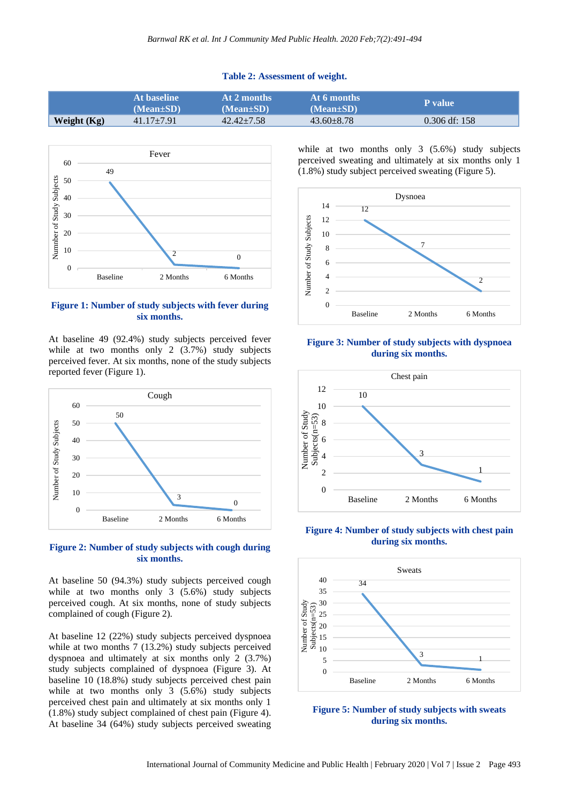#### **Table 2: Assessment of weight.**

|             | At baseline<br>$(Mean \pm SD)$ | At 2 months<br>$(Mean \pm SD)$ | At 6 months<br>$(Mean \pm SD)$ | <b>P</b> value  |
|-------------|--------------------------------|--------------------------------|--------------------------------|-----------------|
| Weight (Kg) | $41.17 \pm 7.91$               | $42.42 + 7.58$                 | $43.60 + 8.78$                 | $0.306$ df: 158 |



### **Figure 1: Number of study subjects with fever during six months.**

At baseline 49 (92.4%) study subjects perceived fever while at two months only 2 (3.7%) study subjects perceived fever. At six months, none of the study subjects reported fever (Figure 1).





At baseline 50 (94.3%) study subjects perceived cough while at two months only 3 (5.6%) study subjects perceived cough. At six months, none of study subjects complained of cough (Figure 2).

At baseline 12 (22%) study subjects perceived dyspnoea while at two months 7 (13.2%) study subjects perceived dyspnoea and ultimately at six months only 2 (3.7%) study subjects complained of dyspnoea (Figure 3). At baseline 10 (18.8%) study subjects perceived chest pain while at two months only 3 (5.6%) study subjects perceived chest pain and ultimately at six months only 1 (1.8%) study subject complained of chest pain (Figure 4). At baseline 34 (64%) study subjects perceived sweating while at two months only 3 (5.6%) study subjects perceived sweating and ultimately at six months only 1 (1.8%) study subject perceived sweating (Figure 5).



**Figure 3: Number of study subjects with dyspnoea during six months.**



**Figure 4: Number of study subjects with chest pain during six months.**